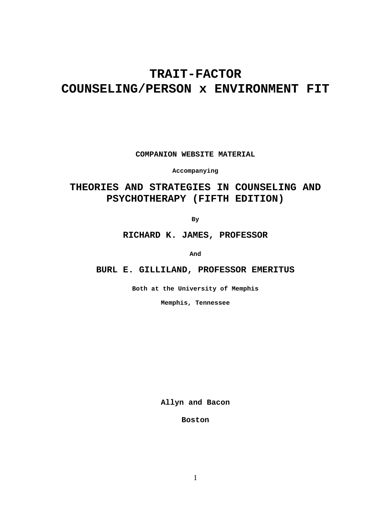# **TRAIT-FACTOR COUNSELING/PERSON x ENVIRONMENT FIT**

**COMPANION WEBSITE MATERIAL**

**Accompanying**

# **THEORIES AND STRATEGIES IN COUNSELING AND PSYCHOTHERAPY (FIFTH EDITION)**

**By**

**RICHARD K. JAMES, PROFESSOR**

**And**

**BURL E. GILLILAND, PROFESSOR EMERITUS**

**Both at the University of Memphis**

**Memphis, Tennessee**

**Allyn and Bacon**

**Boston**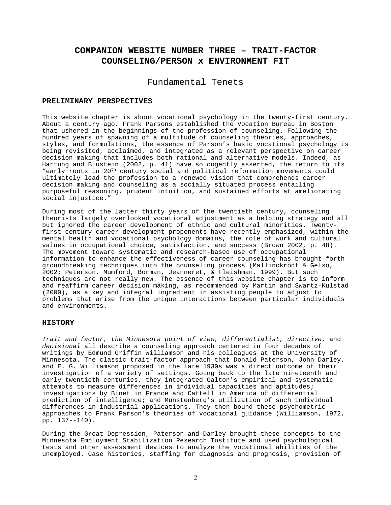### **COMPANION WEBSITE NUMBER THREE – TRAIT-FACTOR COUNSELING/PERSON x ENVIRONMENT FIT**

Fundamental Tenets

### **PRELIMINARY PERSPECTIVES**

This website chapter is about vocational psychology in the twenty-first century. About a century ago, Frank Parsons established the Vocation Bureau in Boston that ushered in the beginnings of the profession of counseling. Following the hundred years of spawning of a multitude of counseling theories, approaches, styles, and formulations, the essence of Parson's basic vocational psychology is being revisited, acclaimed, and integrated as a relevant perspective on career decision making that includes both rational and alternative models. Indeed, as Hartung and Blustein (2002, p. 41) have so cogently asserted, the return to its "early roots in 20<sup>th</sup> century social and political reformation movements could ultimately lead the profession to a renewed vision that comprehends career decision making and counseling as a socially situated process entailing purposeful reasoning, prudent intuition, and sustained efforts at ameliorating social injustice."

During most of the latter thirty years of the twentieth century, counseling theorists largely overlooked vocational adjustment as a helping strategy and all but ignored the career development of ethnic and cultural minorities. Twentyfirst century career development proponents have recently emphasized, within the mental health and vocational psychology domains, the role of work and cultural values in occupational choice, satisfaction, and success (Brown 2002, p. 48). The movement toward systematic and research-based use of occupational information to enhance the effectiveness of career counseling has brought forth groundbreaking techniques into the counseling process (Mallinckrodt & Gelso, 2002; Peterson, Mumford, Borman, Jeanneret, & Fleishman, 1999). But such techniques are not really new. The essence of this website chapter is to inform and reaffirm career decision making, as recommended by Martin and Swartz-Kulstad (2000), as a key and integral ingredient in assisting people to adjust to problems that arise from the unique interactions between particular individuals and environments.

### **HISTORY**

Trait and factor, the Minnesota point of view, differentialist, directive, and decisional all describe a counseling approach centered in four decades of writings by Edmund Griffin Williamson and his colleagues at the University of Minnesota. The classic trait-factor approach that Donald Paterson, John Darley, and E. G. Williamson proposed in the late 1930s was a direct outcome of their investigation of a variety of settings. Going back to the late nineteenth and early twentieth centuries, they integrated Galton's empirical and systematic attempts to measure differences in individual capacities and aptitudes; investigations by Binet in France and Cattell in America of differential prediction of intelligence; and Munstenberg's utilization of such individual differences in industrial applications. They then bound these psychometric approaches to Frank Parson's theories of vocational guidance (Williamson, 1972, pp. 137--140).

During the Great Depression, Paterson and Darley brought these concepts to the Minnesota Employment Stabilization Research Institute and used psychological tests and other assessment devices to analyze the vocational abilities of the unemployed. Case histories, staffing for diagnosis and prognosis, provision of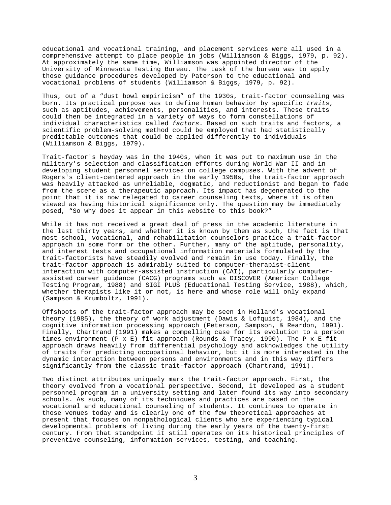educational and vocational training, and placement services were all used in a comprehensive attempt to place people in jobs (Williamson & Biggs, 1979, p. 92). At approximately the same time, Williamson was appointed director of the University of Minnesota Testing Bureau. The task of the bureau was to apply those guidance procedures developed by Paterson to the educational and vocational problems of students (Williamson & Biggs, 1979, p. 92).

Thus, out of a "dust bowl empiricism" of the 1930s, trait-factor counseling was born. Its practical purpose was to define human behavior by specific traits, such as aptitudes, achievements, personalities, and interests. These traits could then be integrated in a variety of ways to form constellations of individual characteristics called factors. Based on such traits and factors, a scientific problem-solving method could be employed that had statistically predictable outcomes that could be applied differently to individuals (Williamson & Biggs, 1979).

Trait-factor's heyday was in the 1940s, when it was put to maximum use in the military's selection and classification efforts during World War II and in developing student personnel services on college campuses. With the advent of Rogers's client-centered approach in the early 1950s, the trait-factor approach was heavily attacked as unreliable, dogmatic, and reductionist and began to fade from the scene as a therapeutic approach. Its impact has degenerated to the point that it is now relegated to career counseling texts, where it is often viewed as having historical significance only. The question may be immediately posed, "So why does it appear in this website to this book?"

While it has not received a great deal of press in the academic literature in the last thirty years, and whether it is known by them as such, the fact is that most school, vocational, and rehabilitation counselors practice a trait-factor approach in some form or the other. Further, many of the aptitude, personality, and interest tests and occupational information materials formulated by the trait-factorists have steadily evolved and remain in use today. Finally, the trait-factor approach is admirably suited to computer-therapist-client interaction with computer-assisted instruction (CAI), particularly computerassisted career guidance (CACG) programs such as DISCOVER (American College Testing Program, 1988) and SIGI PLUS (Educational Testing Service, 1988), which, whether therapists like it or not, is here and whose role will only expand (Sampson & Krumboltz, 1991).

Offshoots of the trait-factor approach may be seen in Holland's vocational theory (1985), the theory of work adjustment (Dawis & Lofquist, 1984), and the cognitive information processing approach (Peterson, Sampson, & Reardon, 1991). Finally, Chartrand (1991) makes a compelling case for its evolution to a person times environment (P x E) fit approach (Rounds & Tracey, 1990). The P x E fit approach draws heavily from differential psychology and acknowledges the utility of traits for predicting occupational behavior, but it is more interested in the dynamic interaction between persons and environments and in this way differs significantly from the classic trait-factor approach (Chartrand, 1991).

Two distinct attributes uniquely mark the trait-factor approach. First, the theory evolved from a vocational perspective. Second, it developed as a student personnel program in a university setting and later found its way into secondary schools. As such, many of its techniques and practices are based on the vocational and educational counseling of students. It continues to operate in those venues today and is clearly one of the few theoretical approaches at present that focuses on nonpathological clients who are experiencing typical developmental problems of living during the early years of the twenty-first century. From that standpoint it still operates on its historical principles of preventive counseling, information services, testing, and teaching.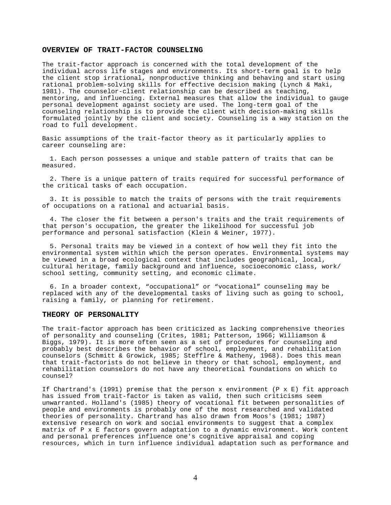### **OVERVIEW OF TRAIT-FACTOR COUNSELING**

The trait-factor approach is concerned with the total development of the individual across life stages and environments. Its short-term goal is to help the client stop irrational, nonproductive thinking and behaving and start using rational problem-solving skills for effective decision making (Lynch & Maki, 1981). The counselor-client relationship can be described as teaching, mentoring, and influencing. External measures that allow the individual to gauge personal development against society are used. The long-term goal of the counseling relationship is to provide the client with decision-making skills formulated jointly by the client and society. Counseling is a way station on the road to full development.

Basic assumptions of the trait-factor theory as it particularly applies to career counseling are:

1. Each person possesses a unique and stable pattern of traits that can be measured.

2. There is a unique pattern of traits required for successful performance of the critical tasks of each occupation.

3. It is possible to match the traits of persons with the trait requirements of occupations on a rational and actuarial basis.

4. The closer the fit between a person's traits and the trait requirements of that person's occupation, the greater the likelihood for successful job performance and personal satisfaction (Klein & Weiner, 1977).

5. Personal traits may be viewed in a context of how well they fit into the environmental system within which the person operates. Environmental systems may be viewed in a broad ecological context that includes geographical, local, cultural heritage, family background and influence, socioeconomic class, work/ school setting, community setting, and economic climate.

6. In a broader context, "occupational" or "vocational" counseling may be replaced with any of the developmental tasks of living such as going to school, raising a family, or planning for retirement.

### **THEORY OF PERSONALITY**

The trait-factor approach has been criticized as lacking comprehensive theories of personality and counseling (Crites, 1981; Patterson, 1966; Williamson & Biggs, 1979). It is more often seen as a set of procedures for counseling and probably best describes the behavior of school, employment, and rehabilitation counselors (Schmitt & Growick, 1985; Stefflre & Matheny, 1968). Does this mean that trait-factorists do not believe in theory or that school, employment, and rehabilitation counselors do not have any theoretical foundations on which to counsel?

If Chartrand's (1991) premise that the person x environment (P x E) fit approach has issued from trait-factor is taken as valid, then such criticisms seem unwarranted. Holland's (1985) theory of vocational fit between personalities of people and environments is probably one of the most researched and validated theories of personality. Chartrand has also drawn from Moos's (1981; 1987) extensive research on work and social environments to suggest that a complex matrix of P x E factors govern adaptation to a dynamic environment. Work content and personal preferences influence one's cognitive appraisal and coping resources, which in turn influence individual adaptation such as performance and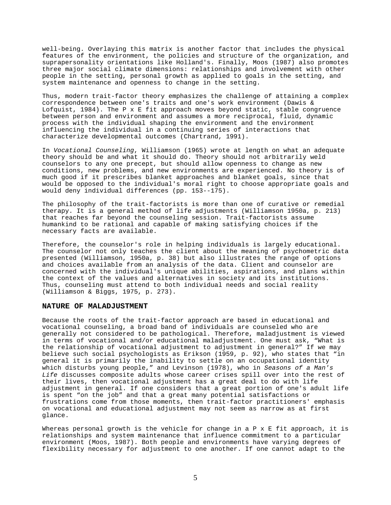well-being. Overlaying this matrix is another factor that includes the physical features of the environment, the policies and structure of the organization, and suprapersonality orientations like Holland's. Finally, Moos (1987) also promotes three major social climate dimensions: relationships and involvement with other people in the setting, personal growth as applied to goals in the setting, and system maintenance and openness to change in the setting.

Thus, modern trait-factor theory emphasizes the challenge of attaining a complex correspondence between one's traits and one's work environment (Dawis & Lofquist, 1984). The P  $x \nE$  fit approach moves beyond static, stable congruence between person and environment and assumes a more reciprocal, fluid, dynamic process with the individual shaping the environment and the environment influencing the individual in a continuing series of interactions that characterize developmental outcomes (Chartrand, 1991).

In Vocational Counseling, Williamson (1965) wrote at length on what an adequate theory should be and what it should do. Theory should not arbitrarily weld counselors to any one precept, but should allow openness to change as new conditions, new problems, and new environments are experienced. No theory is of much good if it prescribes blanket approaches and blanket goals, since that would be opposed to the individual's moral right to choose appropriate goals and would deny individual differences (pp. 153--175).

The philosophy of the trait-factorists is more than one of curative or remedial therapy. It is a general method of life adjustments (Williamson 1950a, p. 213) that reaches far beyond the counseling session. Trait-factorists assume humankind to be rational and capable of making satisfying choices if the necessary facts are available.

Therefore, the counselor's role in helping individuals is largely educational. The counselor not only teaches the client about the meaning of psychometric data presented (Williamson, 1950a, p. 38) but also illustrates the range of options and choices available from an analysis of the data. Client and counselor are concerned with the individual's unique abilities, aspirations, and plans within the context of the values and alternatives in society and its institutions. Thus, counseling must attend to both individual needs and social reality (Williamson & Biggs, 1975, p. 273).

### **NATURE OF MALADJUSTMENT**

Because the roots of the trait-factor approach are based in educational and vocational counseling, a broad band of individuals are counseled who are generally not considered to be pathological. Therefore, maladjustment is viewed in terms of vocational and/or educational maladjustment. One must ask, "What is the relationship of vocational adjustment to adjustment in general?" If we may believe such social psychologists as Erikson (1959, p. 92), who states that "in general it is primarily the inability to settle on an occupational identity which disturbs young people," and Levinson (1978), who in Seasons of a Man's Life discusses composite adults whose career crises spill over into the rest of their lives, then vocational adjustment has a great deal to do with life adjustment in general. If one considers that a great portion of one's adult life is spent "on the job" and that a great many potential satisfactions or frustrations come from those moments, then trait-factor practitioners' emphasis on vocational and educational adjustment may not seem as narrow as at first glance.

Whereas personal growth is the vehicle for change in a  $P \times E$  fit approach, it is relationships and system maintenance that influence commitment to a particular environment (Moos, 1987). Both people and environments have varying degrees of flexibility necessary for adjustment to one another. If one cannot adapt to the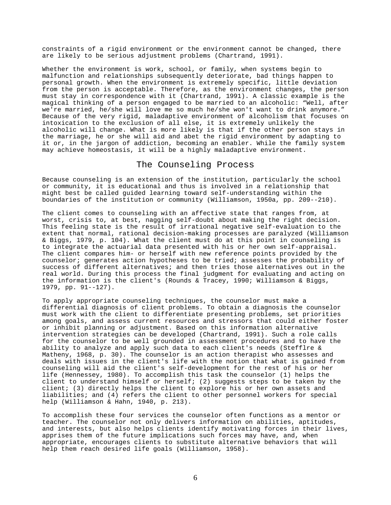constraints of a rigid environment or the environment cannot be changed, there are likely to be serious adjustment problems (Chartrand, 1991).

Whether the environment is work, school, or family, when systems begin to malfunction and relationships subsequently deteriorate, bad things happen to personal growth. When the environment is extremely specific, little deviation from the person is acceptable. Therefore, as the environment changes, the person must stay in correspondence with it (Chartrand, 1991). A classic example is the magical thinking of a person engaged to be married to an alcoholic: "Well, after we're married, he/she will love me so much he/she won't want to drink anymore." Because of the very rigid, maladaptive environment of alcoholism that focuses on intoxication to the exclusion of all else, it is extremely unlikely the alcoholic will change. What is more likely is that if the other person stays in the marriage, he or she will aid and abet the rigid environment by adapting to it or, in the jargon of addiction, becoming an enabler. While the family system may achieve homeostasis, it will be a highly maladaptive environment.

### The Counseling Process

Because counseling is an extension of the institution, particularly the school or community, it is educational and thus is involved in a relationship that might best be called guided learning toward self-understanding within the boundaries of the institution or community (Williamson, 1950a, pp. 209--210).

The client comes to counseling with an affective state that ranges from, at worst, crisis to, at best, nagging self-doubt about making the right decision. This feeling state is the result of irrational negative self-evaluation to the extent that normal, rational decision-making processes are paralyzed (Williamson & Biggs, 1979, p. 104). What the client must do at this point in counseling is to integrate the actuarial data presented with his or her own self-appraisal. The client compares him- or herself with new reference points provided by the counselor; generates action hypotheses to be tried; assesses the probability of success of different alternatives; and then tries those alternatives out in the real world. During this process the final judgment for evaluating and acting on the information is the client's (Rounds & Tracey, 1990; Williamson & Biggs, 1979, pp. 91--127).

To apply appropriate counseling techniques, the counselor must make a differential diagnosis of client problems. To obtain a diagnosis the counselor must work with the client to differentiate presenting problems, set priorities among goals, and assess current resources and stressors that could either foster or inhibit planning or adjustment. Based on this information alternative intervention strategies can be developed (Chartrand, 1991). Such a role calls for the counselor to be well grounded in assessment procedures and to have the ability to analyze and apply such data to each client's needs (Stefflre & Matheny, 1968, p. 30). The counselor is an action therapist who assesses and deals with issues in the client's life with the notion that what is gained from counseling will aid the client's self-development for the rest of his or her life (Hennessey, 1980). To accomplish this task the counselor (1) helps the client to understand himself or herself; (2) suggests steps to be taken by the client; (3) directly helps the client to explore his or her own assets and liabilities; and (4) refers the client to other personnel workers for special help (Williamson & Hahn, 1940, p. 213).

To accomplish these four services the counselor often functions as a mentor or teacher. The counselor not only delivers information on abilities, aptitudes, and interests, but also helps clients identify motivating forces in their lives, apprises them of the future implications such forces may have, and, when appropriate, encourages clients to substitute alternative behaviors that will help them reach desired life goals (Williamson, 1958).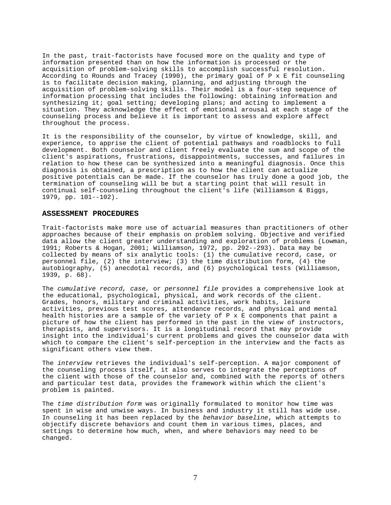In the past, trait-factorists have focused more on the quality and type of information presented than on how the information is processed or the acquisition of problem-solving skills to accomplish successful resolution. According to Rounds and Tracey (1990), the primary goal of P x E fit counseling is to facilitate decision making, planning, and adjusting through the acquisition of problem-solving skills. Their model is a four-step sequence of information processing that includes the following: obtaining information and synthesizing it; goal setting; developing plans; and acting to implement a situation. They acknowledge the effect of emotional arousal at each stage of the counseling process and believe it is important to assess and explore affect throughout the process.

It is the responsibility of the counselor, by virtue of knowledge, skill, and experience, to apprise the client of potential pathways and roadblocks to full development. Both counselor and client freely evaluate the sum and scope of the client's aspirations, frustrations, disappointments, successes, and failures in relation to how these can be synthesized into a meaningful diagnosis. Once this diagnosis is obtained, a prescription as to how the client can actualize positive potentials can be made. If the counselor has truly done a good job, the termination of counseling will be but a starting point that will result in continual self-counseling throughout the client's life (Williamson & Biggs, 1979, pp. 101--102).

### **ASSESSMENT PROCEDURES**

Trait-factorists make more use of actuarial measures than practitioners of other approaches because of their emphasis on problem solving. Objective and verified data allow the client greater understanding and exploration of problems (Lowman, 1991; Roberts & Hogan, 2001; Williamson, 1972, pp. 292--293). Data may be collected by means of six analytic tools: (1) the cumulative record, case, or personnel file, (2) the interview; (3) the time distribution form, (4) the autobiography, (5) anecdotal records, and (6) psychological tests (Williamson, 1939, p. 68).

The cumulative record, case, or personnel file provides a comprehensive look at the educational, psychological, physical, and work records of the client. Grades, honors, military and criminal activities, work habits, leisure activities, previous test scores, attendance records, and physical and mental health histories are a sample of the variety of  $P \times E$  components that paint a picture of how the client has performed in the past in the view of instructors, therapists, and supervisors. It is a longitudinal record that may provide insight into the individual's current problems and gives the counselor data with which to compare the client's self-perception in the interview and the facts as significant others view them.

The interview retrieves the individual's self-perception. A major component of the counseling process itself, it also serves to integrate the perceptions of the client with those of the counselor and, combined with the reports of others and particular test data, provides the framework within which the client's problem is painted.

The time distribution form was originally formulated to monitor how time was spent in wise and unwise ways. In business and industry it still has wide use. In counseling it has been replaced by the behavior baseline, which attempts to objectify discrete behaviors and count them in various times, places, and settings to determine how much, when, and where behaviors may need to be changed.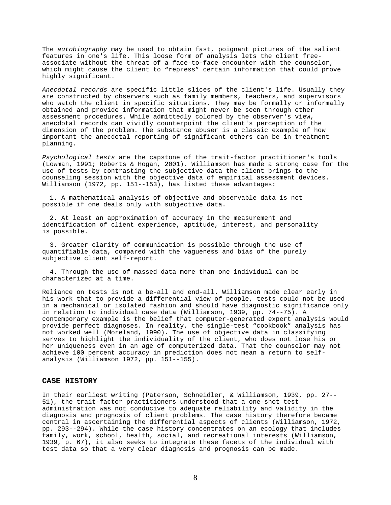The autobiography may be used to obtain fast, poignant pictures of the salient features in one's life. This loose form of analysis lets the client freeassociate without the threat of a face-to-face encounter with the counselor, which might cause the client to "repress" certain information that could prove highly significant.

Anecdotal records are specific little slices of the client's life. Usually they are constructed by observers such as family members, teachers, and supervisors who watch the client in specific situations. They may be formally or informally obtained and provide information that might never be seen through other assessment procedures. While admittedly colored by the observer's view, anecdotal records can vividly counterpoint the client's perception of the dimension of the problem. The substance abuser is a classic example of how important the anecdotal reporting of significant others can be in treatment planning.

Psychological tests are the capstone of the trait-factor practitioner's tools (Lowman, 1991; Roberts & Hogan, 2001). Williamson has made a strong case for the use of tests by contrasting the subjective data the client brings to the counseling session with the objective data of empirical assessment devices. Williamson (1972, pp. 151--153), has listed these advantages:

1. A mathematical analysis of objective and observable data is not possible if one deals only with subjective data.

2. At least an approximation of accuracy in the measurement and identification of client experience, aptitude, interest, and personality is possible.

3. Greater clarity of communication is possible through the use of quantifiable data, compared with the vagueness and bias of the purely subjective client self-report.

4. Through the use of massed data more than one individual can be characterized at a time.

Reliance on tests is not a be-all and end-all. Williamson made clear early in his work that to provide a differential view of people, tests could not be used in a mechanical or isolated fashion and should have diagnostic significance only in relation to individual case data (Williamson, 1939, pp. 74--75). A contemporary example is the belief that computer-generated expert analysis would provide perfect diagnoses. In reality, the single-test "cookbook" analysis has not worked well (Moreland, 1990). The use of objective data in classifying serves to highlight the individuality of the client, who does not lose his or her uniqueness even in an age of computerized data. That the counselor may not achieve 100 percent accuracy in prediction does not mean a return to selfanalysis (Williamson 1972, pp. 151--155).

### **CASE HISTORY**

In their earliest writing (Paterson, Schneidler, & Williamson, 1939, pp. 27-- 51), the trait-factor practitioners understood that a one-shot test administration was not conducive to adequate reliability and validity in the diagnosis and prognosis of client problems. The case history therefore became central in ascertaining the differential aspects of clients (Williamson, 1972, pp. 293--294). While the case history concentrates on an ecology that includes family, work, school, health, social, and recreational interests (Williamson, 1939, p. 67), it also seeks to integrate these facets of the individual with test data so that a very clear diagnosis and prognosis can be made.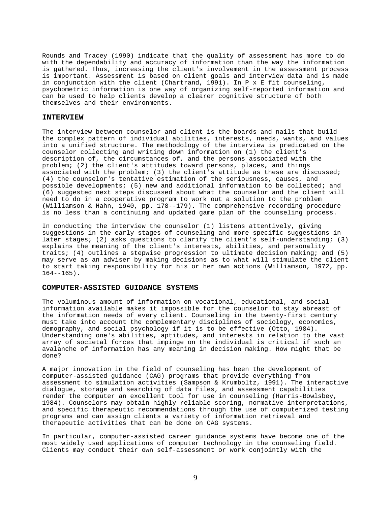Rounds and Tracey (1990) indicate that the quality of assessment has more to do with the dependability and accuracy of information than the way the information is gathered. Thus, increasing the client's involvement in the assessment process is important. Assessment is based on client goals and interview data and is made in conjunction with the client (Chartrand, 1991). In P x E fit counseling, psychometric information is one way of organizing self-reported information and can be used to help clients develop a clearer cognitive structure of both themselves and their environments.

#### **INTERVIEW**

The interview between counselor and client is the boards and nails that build the complex pattern of individual abilities, interests, needs, wants, and values into a unified structure. The methodology of the interview is predicated on the counselor collecting and writing down information on (1) the client's description of, the circumstances of, and the persons associated with the problem; (2) the client's attitudes toward persons, places, and things associated with the problem; (3) the client's attitude as these are discussed; (4) the counselor's tentative estimation of the seriousness, causes, and possible developments; (5) new and additional information to be collected; and (6) suggested next steps discussed about what the counselor and the client will need to do in a cooperative program to work out a solution to the problem (Williamson & Hahn, 1940, pp. 178--179). The comprehensive recording procedure is no less than a continuing and updated game plan of the counseling process.

In conducting the interview the counselor (1) listens attentively, giving suggestions in the early stages of counseling and more specific suggestions in later stages; (2) asks questions to clarify the client's self-understanding; (3) explains the meaning of the client's interests, abilities, and personality traits; (4) outlines a stepwise progression to ultimate decision making; and (5) may serve as an adviser by making decisions as to what will stimulate the client to start taking responsibility for his or her own actions (Williamson, 1972, pp.  $164--165$ ).

#### **COMPUTER-ASSISTED GUIDANCE SYSTEMS**

The voluminous amount of information on vocational, educational, and social information available makes it impossible for the counselor to stay abreast of the information needs of every client. Counseling in the twenty-first century must take into account the complementary disciplines of sociology, economics, demography, and social psychology if it is to be effective (Otto, 1984). Understanding one's abilities, aptitudes, and interests in relation to the vast array of societal forces that impinge on the individual is critical if such an avalanche of information has any meaning in decision making. How might that be done?

A major innovation in the field of counseling has been the development of computer-assisted guidance (CAG) programs that provide everything from assessment to simulation activities (Sampson & Krumboltz, 1991). The interactive dialogue, storage and searching of data files, and assessment capabilities render the computer an excellent tool for use in counseling (Harris-Bowlsbey, 1984). Counselors may obtain highly reliable scoring, normative interpretations, and specific therapeutic recommendations through the use of computerized testing programs and can assign clients a variety of information retrieval and therapeutic activities that can be done on CAG systems.

In particular, computer-assisted career guidance systems have become one of the most widely used applications of computer technology in the counseling field. Clients may conduct their own self-assessment or work conjointly with the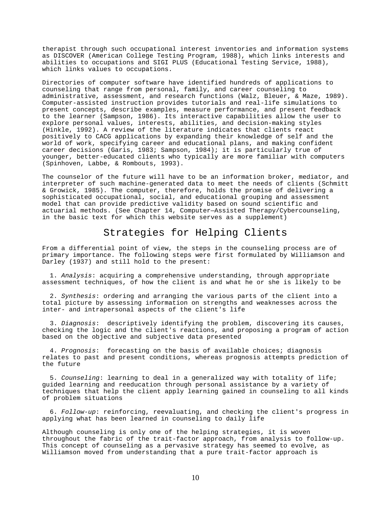therapist through such occupational interest inventories and information systems as DISCOVER (American College Testing Program, 1988), which links interests and abilities to occupations and SIGI PLUS (Educational Testing Service, 1988), which links values to occupations.

Directories of computer software have identified hundreds of applications to counseling that range from personal, family, and career counseling to administrative, assessment, and research functions (Walz, Bleuer, & Maze, 1989). Computer-assisted instruction provides tutorials and real-life simulations to present concepts, describe examples, measure performance, and present feedback to the learner (Sampson, 1986). Its interactive capabilities allow the user to explore personal values, interests, abilities, and decision-making styles (Hinkle, 1992). A review of the literature indicates that clients react positively to CACG applications by expanding their knowledge of self and the world of work, specifying career and educational plans, and making confident career decisions (Garis, 1983; Sampson, 1984); it is particularly true of younger, better-educated clients who typically are more familiar with computers (Spinhoven, Labbe, & Rombouts, 1993).

The counselor of the future will have to be an information broker, mediator, and interpreter of such machine-generated data to meet the needs of clients (Schmitt & Growick, 1985). The computer, therefore, holds the promise of delivering a sophisticated occupational, social, and educational grouping and assessment model that can provide predictive validity based on sound scientific and actuarial methods. (See Chapter 14, Computer—Assisted Therapy/Cybercounseling, in the basic text for which this website serves as a supplement)

# Strategies for Helping Clients

From a differential point of view, the steps in the counseling process are of primary importance. The following steps were first formulated by Williamson and Darley (1937) and still hold to the present:

1. Analysis: acquiring a comprehensive understanding, through appropriate assessment techniques, of how the client is and what he or she is likely to be

2. Synthesis: ordering and arranging the various parts of the client into a total picture by assessing information on strengths and weaknesses across the inter- and intrapersonal aspects of the client's life

3. Diagnosis: descriptively identifying the problem, discovering its causes, checking the logic and the client's reactions, and proposing a program of action based on the objective and subjective data presented

4. Prognosis: forecasting on the basis of available choices; diagnosis relates to past and present conditions, whereas prognosis attempts prediction of the future

5. Counseling: learning to deal in a generalized way with totality of life; guided learning and reeducation through personal assistance by a variety of techniques that help the client apply learning gained in counseling to all kinds of problem situations

6. Follow-up: reinforcing, reevaluating, and checking the client's progress in applying what has been learned in counseling to daily life

Although counseling is only one of the helping strategies, it is woven throughout the fabric of the trait-factor approach, from analysis to follow-up. This concept of counseling as a pervasive strategy has seemed to evolve, as Williamson moved from understanding that a pure trait-factor approach is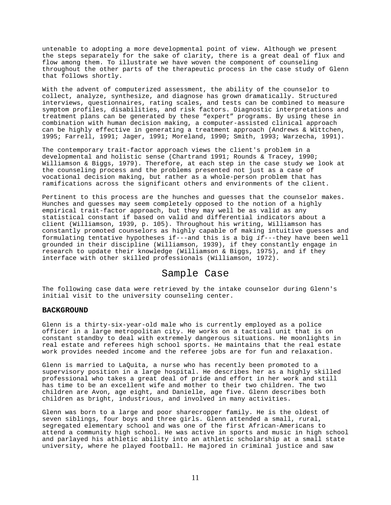untenable to adopting a more developmental point of view. Although we present the steps separately for the sake of clarity, there is a great deal of flux and flow among them. To illustrate we have woven the component of counseling throughout the other parts of the therapeutic process in the case study of Glenn that follows shortly.

With the advent of computerized assessment, the ability of the counselor to collect, analyze, synthesize, and diagnose has grown dramatically. Structured interviews, questionnaires, rating scales, and tests can be combined to measure symptom profiles, disabilities, and risk factors. Diagnostic interpretations and treatment plans can be generated by these "expert" programs. By using these in combination with human decision making, a computer-assisted clinical approach can be highly effective in generating a treatment approach (Andrews & Wittchen, 1995; Farrell, 1991; Jager, 1991; Moreland, 1990; Smith, 1993; Warzecha, 1991).

The contemporary trait-factor approach views the client's problem in a developmental and holistic sense (Chartrand 1991; Rounds & Tracey, 1990; Williamson & Biggs, 1979). Therefore, at each step in the case study we look at the counseling process and the problems presented not just as a case of vocational decision making, but rather as a whole-person problem that has ramifications across the significant others and environments of the client.

Pertinent to this process are the hunches and guesses that the counselor makes. Hunches and guesses may seem completely opposed to the notion of a highly empirical trait-factor approach, but they may well be as valid as any statistical constant if based on valid and differential indicators about a client (Williamson, 1939, p. 105). Throughout his writing, Williamson has constantly promoted counselors as highly capable of making intuitive guesses and formulating tentative hypotheses if---and this is a big if---they have been well grounded in their discipline (Williamson, 1939), if they constantly engage in research to update their knowledge (Williamson & Biggs, 1975), and if they interface with other skilled professionals (Williamson, 1972).

### Sample Case

The following case data were retrieved by the intake counselor during Glenn's initial visit to the university counseling center.

### **BACKGROUND**

Glenn is a thirty-six-year-old male who is currently employed as a police officer in a large metropolitan city. He works on a tactical unit that is on constant standby to deal with extremely dangerous situations. He moonlights in real estate and referees high school sports. He maintains that the real estate work provides needed income and the referee jobs are for fun and relaxation.

Glenn is married to LaQuita, a nurse who has recently been promoted to a supervisory position in a large hospital. He describes her as a highly skilled professional who takes a great deal of pride and effort in her work and still has time to be an excellent wife and mother to their two children. The two children are Avon, age eight, and Danielle, age five. Glenn describes both children as bright, industrious, and involved in many activities.

Glenn was born to a large and poor sharecropper family. He is the oldest of seven siblings, four boys and three girls. Glenn attended a small, rural, segregated elementary school and was one of the first African-Americans to attend a community high school. He was active in sports and music in high school and parlayed his athletic ability into an athletic scholarship at a small state university, where he played football. He majored in criminal justice and saw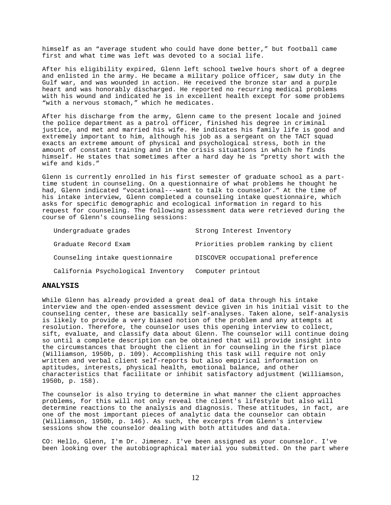himself as an "average student who could have done better," but football came first and what time was left was devoted to a social life.

After his eligibility expired, Glenn left school twelve hours short of a degree and enlisted in the army. He became a military police officer, saw duty in the Gulf war, and was wounded in action. He received the bronze star and a purple heart and was honorably discharged. He reported no recurring medical problems with his wound and indicated he is in excellent health except for some problems "with a nervous stomach," which he medicates.

After his discharge from the army, Glenn came to the present locale and joined the police department as a patrol officer, finished his degree in criminal justice, and met and married his wife. He indicates his family life is good and extremely important to him, although his job as a sergeant on the TACT squad exacts an extreme amount of physical and psychological stress, both in the amount of constant training and in the crisis situations in which he finds himself. He states that sometimes after a hard day he is "pretty short with the wife and kids."

Glenn is currently enrolled in his first semester of graduate school as a parttime student in counseling. On a questionnaire of what problems he thought he had, Glenn indicated "vocational---want to talk to counselor." At the time of his intake interview, Glenn completed a counseling intake questionnaire, which asks for specific demographic and ecological information in regard to his request for counseling. The following assessment data were retrieved during the course of Glenn's counseling sessions:

| Undergraduate grades               | Strong Interest Inventory            |
|------------------------------------|--------------------------------------|
| Graduate Record Exam               | Priorities problem ranking by client |
| Counseling intake questionnaire    | DISCOVER occupational preference     |
| California Psychological Inventory | Computer printout                    |

### **ANALYSIS**

While Glenn has already provided a great deal of data through his intake interview and the open-ended assessment device given in his initial visit to the counseling center, these are basically self-analyses. Taken alone, self-analysis is likely to provide a very biased notion of the problem and any attempts at resolution. Therefore, the counselor uses this opening interview to collect, sift, evaluate, and classify data about Glenn. The counselor will continue doing so until a complete description can be obtained that will provide insight into the circumstances that brought the client in for counseling in the first place (Williamson, 1950b, p. 109). Accomplishing this task will require not only written and verbal client self-reports but also empirical information on aptitudes, interests, physical health, emotional balance, and other characteristics that facilitate or inhibit satisfactory adjustment (Williamson, 1950b, p. 158).

The counselor is also trying to determine in what manner the client approaches problems, for this will not only reveal the client's lifestyle but also will determine reactions to the analysis and diagnosis. These attitudes, in fact, are one of the most important pieces of analytic data the counselor can obtain (Williamson, 1950b, p. 146). As such, the excerpts from Glenn's interview sessions show the counselor dealing with both attitudes and data.

CO: Hello, Glenn, I'm Dr. Jimenez. I've been assigned as your counselor. I've been looking over the autobiographical material you submitted. On the part where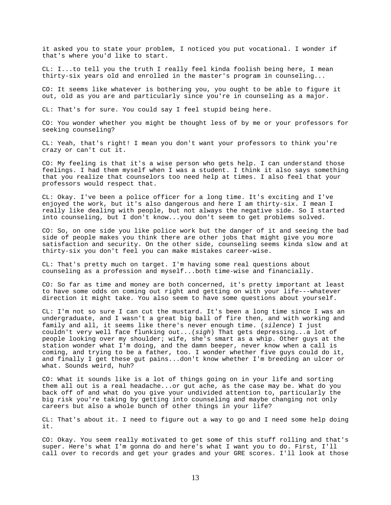it asked you to state your problem, I noticed you put vocational. I wonder if that's where you'd like to start.

CL: I...to tell you the truth I really feel kinda foolish being here, I mean thirty-six years old and enrolled in the master's program in counseling...

CO: It seems like whatever is bothering you, you ought to be able to figure it out, old as you are and particularly since you're in counseling as a major.

CL: That's for sure. You could say I feel stupid being here.

CO: You wonder whether you might be thought less of by me or your professors for seeking counseling?

CL: Yeah, that's right! I mean you don't want your professors to think you're crazy or can't cut it.

CO: My feeling is that it's a wise person who gets help. I can understand those feelings. I had them myself when I was a student. I think it also says something that you realize that counselors too need help at times. I also feel that your professors would respect that.

CL: Okay. I've been a police officer for a long time. It's exciting and I've enjoyed the work, but it's also dangerous and here I am thirty-six. I mean I really like dealing with people, but not always the negative side. So I started into counseling, but I don't know...you don't seem to get problems solved.

CO: So, on one side you like police work but the danger of it and seeing the bad side of people makes you think there are other jobs that might give you more satisfaction and security. On the other side, counseling seems kinda slow and at thirty-six you don't feel you can make mistakes career-wise.

CL: That's pretty much on target. I'm having some real questions about counseling as a profession and myself...both time-wise and financially.

CO: So far as time and money are both concerned, it's pretty important at least to have some odds on coming out right and getting on with your life---whatever direction it might take. You also seem to have some questions about yourself.

CL: I'm not so sure I can cut the mustard. It's been a long time since I was an undergraduate, and I wasn't a great big ball of fire then, and with working and family and all, it seems like there's never enough time. (silence) I just couldn't very well face flunking out...(sigh) That gets depressing...a lot of people looking over my shoulder; wife, she's smart as a whip. Other guys at the station wonder what I'm doing, and the damn beeper, never know when a call is coming, and trying to be a father, too. I wonder whether five guys could do it, and finally I get these gut pains...don't know whether I'm breeding an ulcer or what. Sounds weird, huh?

CO: What it sounds like is a lot of things going on in your life and sorting them all out is a real headache...or gut ache, as the case may be. What do you back off of and what do you give your undivided attention to, particularly the big risk you're taking by getting into counseling and maybe changing not only careers but also a whole bunch of other things in your life?

CL: That's about it. I need to figure out a way to go and I need some help doing it.

CO: Okay. You seem really motivated to get some of this stuff rolling and that's super. Here's what I'm gonna do and here's what I want you to do. First, I'll call over to records and get your grades and your GRE scores. I'll look at those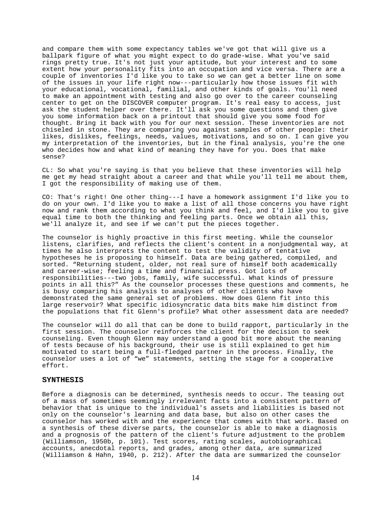and compare them with some expectancy tables we've got that will give us a ballpark figure of what you might expect to do grade-wise. What you've said rings pretty true. It's not just your aptitude, but your interest and to some extent how your personality fits into an occupation and vice versa. There are a couple of inventories I'd like you to take so we can get a better line on some of the issues in your life right now---particularly how those issues fit with your educational, vocational, familial, and other kinds of goals. You'll need to make an appointment with testing and also go over to the career counseling center to get on the DISCOVER computer program. It's real easy to access, just ask the student helper over there. It'll ask you some questions and then give you some information back on a printout that should give you some food for thought. Bring it back with you for our next session. These inventories are not chiseled in stone. They are comparing you against samples of other people: their likes, dislikes, feelings, needs, values, motivations, and so on. I can give you my interpretation of the inventories, but in the final analysis, you're the one who decides how and what kind of meaning they have for you. Does that make sense?

CL: So what you're saying is that you believe that these inventories will help me get my head straight about a career and that while you'll tell me about them, I got the responsibility of making use of them.

CO: That's right! One other thing---I have a homework assignment I'd like you to do on your own. I'd like you to make a list of all those concerns you have right now and rank them according to what you think and feel, and I'd like you to give equal time to both the thinking and feeling parts. Once we obtain all this, we'll analyze it, and see if we can't put the pieces together.

The counselor is highly proactive in this first meeting. While the counselor listens, clarifies, and reflects the client's content in a nonjudgmental way, at times he also interprets the content to test the validity of tentative hypotheses he is proposing to himself. Data are being gathered, compiled, and sorted. "Returning student, older, not real sure of himself both academically and career-wise; feeling a time and financial press. Got lots of responsibilities---two jobs, family, wife successful. What kinds of pressure points in all this?" As the counselor processes these questions and comments, he is busy comparing his analysis to analyses of other clients who have demonstrated the same general set of problems. How does Glenn fit into this large reservoir? What specific idiosyncratic data bits make him distinct from the populations that fit Glenn's profile? What other assessment data are needed?

The counselor will do all that can be done to build rapport, particularly in the first session. The counselor reinforces the client for the decision to seek counseling. Even though Glenn may understand a good bit more about the meaning of tests because of his background, their use is still explained to get him motivated to start being a full-fledged partner in the process. Finally, the counselor uses a lot of "we" statements, setting the stage for a cooperative effort.

#### **SYNTHESIS**

Before a diagnosis can be determined, synthesis needs to occur. The teasing out of a mass of sometimes seemingly irrelevant facts into a consistent pattern of behavior that is unique to the individual's assets and liabilities is based not only on the counselor's learning and data base, but also on other cases the counselor has worked with and the experience that comes with that work. Based on a synthesis of these diverse parts, the counselor is able to make a diagnosis and a prognosis of the pattern of the client's future adjustment to the problem (Williamson, 1950b, p. 101). Test scores, rating scales, autobiographical accounts, anecdotal reports, and grades, among other data, are summarized (Williamson & Hahn, 1940, p. 212). After the data are summarized the counselor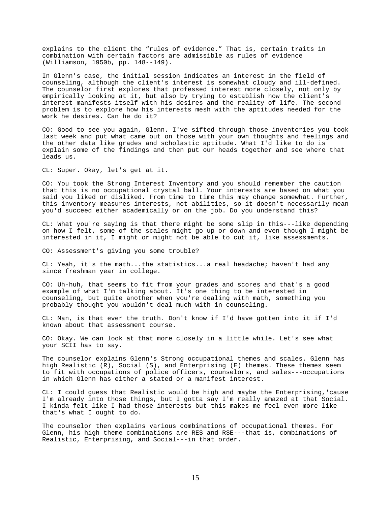explains to the client the "rules of evidence." That is, certain traits in combination with certain factors are admissible as rules of evidence (Williamson, 1950b, pp. 148--149).

In Glenn's case, the initial session indicates an interest in the field of counseling, although the client's interest is somewhat cloudy and ill-defined. The counselor first explores that professed interest more closely, not only by empirically looking at it, but also by trying to establish how the client's interest manifests itself with his desires and the reality of life. The second problem is to explore how his interests mesh with the aptitudes needed for the work he desires. Can he do it?

CO: Good to see you again, Glenn. I've sifted through those inventories you took last week and put what came out on those with your own thoughts and feelings and the other data like grades and scholastic aptitude. What I'd like to do is explain some of the findings and then put our heads together and see where that leads us.

CL: Super. Okay, let's get at it.

CO: You took the Strong Interest Inventory and you should remember the caution that this is no occupational crystal ball. Your interests are based on what you said you liked or disliked. From time to time this may change somewhat. Further, this inventory measures interests, not abilities, so it doesn't necessarily mean you'd succeed either academically or on the job. Do you understand this?

CL: What you're saying is that there might be some slip in this---like depending on how I felt, some of the scales might go up or down and even though I might be interested in it, I might or might not be able to cut it, like assessments.

CO: Assessment's giving you some trouble?

CL: Yeah, it's the math...the statistics...a real headache; haven't had any since freshman year in college.

CO: Uh-huh, that seems to fit from your grades and scores and that's a good example of what I'm talking about. It's one thing to be interested in counseling, but quite another when you're dealing with math, something you probably thought you wouldn't deal much with in counseling.

CL: Man, is that ever the truth. Don't know if I'd have gotten into it if I'd known about that assessment course.

CO: Okay. We can look at that more closely in a little while. Let's see what your SCII has to say.

The counselor explains Glenn's Strong occupational themes and scales. Glenn has high Realistic (R), Social (S), and Enterprising (E) themes. These themes seem to fit with occupations of police officers, counselors, and sales---occupations in which Glenn has either a stated or a manifest interest.

CL: I could guess that Realistic would be high and maybe the Enterprising,'cause I'm already into those things, but I gotta say I'm really amazed at that Social. I kinda felt like I had those interests but this makes me feel even more like that's what I ought to do.

The counselor then explains various combinations of occupational themes. For Glenn, his high theme combinations are RES and RSE---that is, combinations of Realistic, Enterprising, and Social---in that order.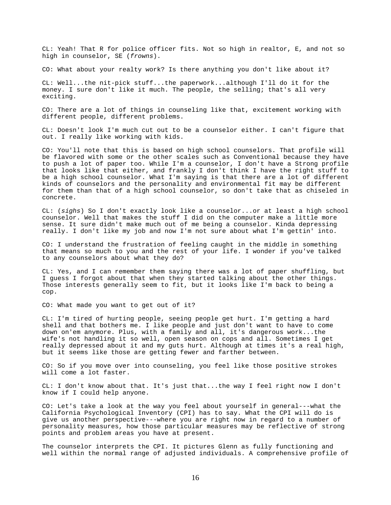CL: Yeah! That R for police officer fits. Not so high in realtor, E, and not so high in counselor, SE (frowns).

CO: What about your realty work? Is there anything you don't like about it?

CL: Well...the nit-pick stuff...the paperwork...although I'll do it for the money. I sure don't like it much. The people, the selling; that's all very exciting.

CO: There are a lot of things in counseling like that, excitement working with different people, different problems.

CL: Doesn't look I'm much cut out to be a counselor either. I can't figure that out. I really like working with kids.

CO: You'll note that this is based on high school counselors. That profile will be flavored with some or the other scales such as Conventional because they have to push a lot of paper too. While I'm a counselor, I don't have a Strong profile that looks like that either, and frankly I don't think I have the right stuff to be a high school counselor. What I'm saying is that there are a lot of different kinds of counselors and the personality and environmental fit may be different for them than that of a high school counselor, so don't take that as chiseled in concrete.

CL: (sighs) So I don't exactly look like a counselor...or at least a high school counselor. Well that makes the stuff I did on the computer make a little more sense. It sure didn't make much out of me being a counselor. Kinda depressing really. I don't like my job and now I'm not sure about what I'm gettin' into.

CO: I understand the frustration of feeling caught in the middle in something that means so much to you and the rest of your life. I wonder if you've talked to any counselors about what they do?

CL: Yes, and I can remember them saying there was a lot of paper shuffling, but I guess I forgot about that when they started talking about the other things. Those interests generally seem to fit, but it looks like I'm back to being a cop.

CO: What made you want to get out of it?

CL: I'm tired of hurting people, seeing people get hurt. I'm getting a hard shell and that bothers me. I like people and just don't want to have to come down on'em anymore. Plus, with a family and all, it's dangerous work...the wife's not handling it so well, open season on cops and all. Sometimes I get really depressed about it and my guts hurt. Although at times it's a real high, but it seems like those are getting fewer and farther between.

CO: So if you move over into counseling, you feel like those positive strokes will come a lot faster.

CL: I don't know about that. It's just that...the way I feel right now I don't know if I could help anyone.

CO: Let's take a look at the way you feel about yourself in general---what the California Psychological Inventory (CPI) has to say. What the CPI will do is give us another perspective---where you are right now in regard to a number of personality measures, how those particular measures may be reflective of strong points and problem areas you have at present.

The counselor interprets the CPI. It pictures Glenn as fully functioning and well within the normal range of adjusted individuals. A comprehensive profile of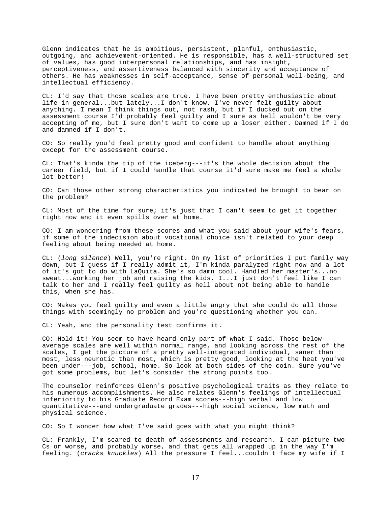Glenn indicates that he is ambitious, persistent, planful, enthusiastic, outgoing, and achievement-oriented. He is responsible, has a well-structured set of values, has good interpersonal relationships, and has insight, perceptiveness, and assertiveness balanced with sincerity and acceptance of others. He has weaknesses in self-acceptance, sense of personal well-being, and intellectual efficiency.

CL: I'd say that those scales are true. I have been pretty enthusiastic about life in general...but lately...I don't know. I've never felt guilty about anything. I mean I think things out, not rash, but if I ducked out on the assessment course I'd probably feel guilty and I sure as hell wouldn't be very accepting of me, but I sure don't want to come up a loser either. Damned if I do and damned if I don't.

CO: So really you'd feel pretty good and confident to handle about anything except for the assessment course.

CL: That's kinda the tip of the iceberg---it's the whole decision about the career field, but if I could handle that course it'd sure make me feel a whole lot better!

CO: Can those other strong characteristics you indicated be brought to bear on the problem?

CL: Most of the time for sure; it's just that I can't seem to get it together right now and it even spills over at home.

CO: I am wondering from these scores and what you said about your wife's fears, if some of the indecision about vocational choice isn't related to your deep feeling about being needed at home.

CL: (long silence) Well, you're right. On my list of priorities I put family way down, but I guess if I really admit it, I'm kinda paralyzed right now and a lot of it's got to do with LaQuita. She's so damn cool. Handled her master's...no sweat...working her job and raising the kids. I...I just don't feel like I can talk to her and I really feel guilty as hell about not being able to handle this, when she has.

CO: Makes you feel guilty and even a little angry that she could do all those things with seemingly no problem and you're questioning whether you can.

CL: Yeah, and the personality test confirms it.

CO: Hold it! You seem to have heard only part of what I said. Those belowaverage scales are well within normal range, and looking across the rest of the scales, I get the picture of a pretty well-integrated individual, saner than most, less neurotic than most, which is pretty good, looking at the heat you've been under---job, school, home. So look at both sides of the coin. Sure you've got some problems, but let's consider the strong points too.

The counselor reinforces Glenn's positive psychological traits as they relate to his numerous accomplishments. He also relates Glenn's feelings of intellectual inferiority to his Graduate Record Exam scores---high verbal and low quantitative---and undergraduate grades---high social science, low math and physical science.

CO: So I wonder how what I've said goes with what you might think?

CL: Frankly, I'm scared to death of assessments and research. I can picture two Cs or worse, and probably worse, and that gets all wrapped up in the way I'm feeling. (cracks knuckles) All the pressure I feel...couldn't face my wife if I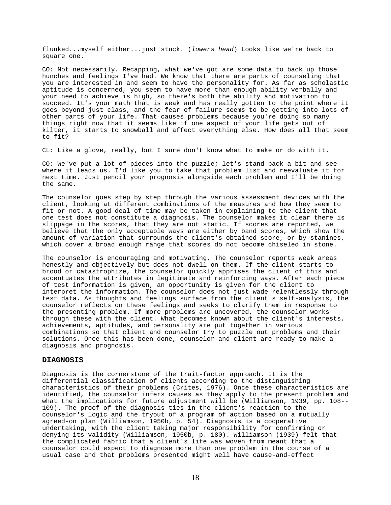flunked...myself either...just stuck. (lowers head) Looks like we're back to square one.

CO: Not necessarily. Recapping, what we've got are some data to back up those hunches and feelings I've had. We know that there are parts of counseling that you are interested in and seem to have the personality for. As far as scholastic aptitude is concerned, you seem to have more than enough ability verbally and your need to achieve is high, so there's both the ability and motivation to succeed. It's your math that is weak and has really gotten to the point where it goes beyond just class, and the fear of failure seems to be getting into lots of other parts of your life. That causes problems because you're doing so many things right now that it seems like if one aspect of your life gets out of kilter, it starts to snowball and affect everything else. How does all that seem to fit?

CL: Like a glove, really, but I sure don't know what to make or do with it.

CO: We've put a lot of pieces into the puzzle; let's stand back a bit and see where it leads us. I'd like you to take that problem list and reevaluate it for next time. Just pencil your prognosis alongside each problem and I'll be doing the same.

The counselor goes step by step through the various assessment devices with the client, looking at different combinations of the measures and how they seem to fit or not. A good deal of time may be taken in explaining to the client that one test does not constitute a diagnosis. The counselor makes it clear there is slippage in the scores, that they are not static. If scores are reported, we believe that the only acceptable ways are either by band scores, which show the amount of variation that surrounds the client's obtained score, or by stanines, which cover a broad enough range that scores do not become chiseled in stone.

The counselor is encouraging and motivating. The counselor reports weak areas honestly and objectively but does not dwell on them. If the client starts to brood or catastrophize, the counselor quickly apprises the client of this and accentuates the attributes in legitimate and reinforcing ways. After each piece of test information is given, an opportunity is given for the client to interpret the information. The counselor does not just wade relentlessly through test data. As thoughts and feelings surface from the client's self-analysis, the counselor reflects on these feelings and seeks to clarify them in response to the presenting problem. If more problems are uncovered, the counselor works through these with the client. What becomes known about the client's interests, achievements, aptitudes, and personality are put together in various combinations so that client and counselor try to puzzle out problems and their solutions. Once this has been done, counselor and client are ready to make a diagnosis and prognosis.

### **DIAGNOSIS**

Diagnosis is the cornerstone of the trait-factor approach. It is the differential classification of clients according to the distinguishing characteristics of their problems (Crites, 1976). Once these characteristics are identified, the counselor infers causes as they apply to the present problem and what the implications for future adjustment will be (Williamson, 1939, pp. 108-- 109). The proof of the diagnosis ties in the client's reaction to the counselor's logic and the tryout of a program of action based on a mutually agreed-on plan (Williamson, 1950b, p. 54). Diagnosis is a cooperative undertaking, with the client taking major responsibility for confirming or denying its validity (Williamson, 1950b, p. 180). Williamson (1939) felt that the complicated fabric that a client's life was woven from meant that a counselor could expect to diagnose more than one problem in the course of a usual case and that problems presented might well have cause-and-effect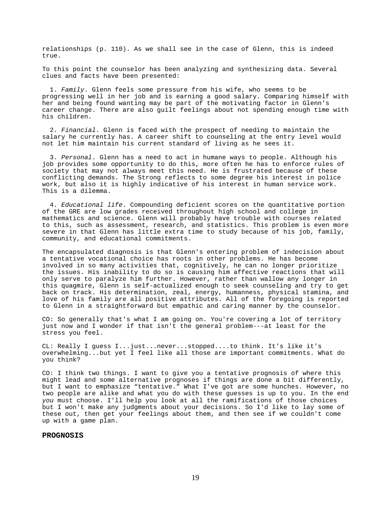relationships (p. 110). As we shall see in the case of Glenn, this is indeed true.

To this point the counselor has been analyzing and synthesizing data. Several clues and facts have been presented:

1. Family. Glenn feels some pressure from his wife, who seems to be progressing well in her job and is earning a good salary. Comparing himself with her and being found wanting may be part of the motivating factor in Glenn's career change. There are also guilt feelings about not spending enough time with his children.

2. Financial. Glenn is faced with the prospect of needing to maintain the salary he currently has. A career shift to counseling at the entry level would not let him maintain his current standard of living as he sees it.

3. Personal. Glenn has a need to act in humane ways to people. Although his job provides some opportunity to do this, more often he has to enforce rules of society that may not always meet this need. He is frustrated because of these conflicting demands. The Strong reflects to some degree his interest in police work, but also it is highly indicative of his interest in human service work. This is a dilemma.

4. Educational life. Compounding deficient scores on the quantitative portion of the GRE are low grades received throughout high school and college in mathematics and science. Glenn will probably have trouble with courses related to this, such as assessment, research, and statistics. This problem is even more severe in that Glenn has little extra time to study because of his job, family, community, and educational commitments.

The encapsulated diagnosis is that Glenn's entering problem of indecision about a tentative vocational choice has roots in other problems. He has become involved in so many activities that, cognitively, he can no longer prioritize the issues. His inability to do so is causing him affective reactions that will only serve to paralyze him further. However, rather than wallow any longer in this quagmire, Glenn is self-actualized enough to seek counseling and try to get back on track. His determination, zeal, energy, humanness, physical stamina, and love of his family are all positive attributes. All of the foregoing is reported to Glenn in a straightforward but empathic and caring manner by the counselor.

CO: So generally that's what I am going on. You're covering a lot of territory just now and I wonder if that isn't the general problem---at least for the stress you feel.

CL: Really I guess I...just...never...stopped....to think. It's like it's overwhelming...but yet I feel like all those are important commitments. What do you think?

CO: I think two things. I want to give you a tentative prognosis of where this might lead and some alternative prognoses if things are done a bit differently, but I want to emphasize "tentative." What I've got are some hunches. However, no two people are alike and what you do with these guesses is up to you. In the end you must choose. I'll help you look at all the ramifications of those choices but I won't make any judgments about your decisions. So I'd like to lay some of these out, then get your feelings about them, and then see if we couldn't come up with a game plan.

### **PROGNOSIS**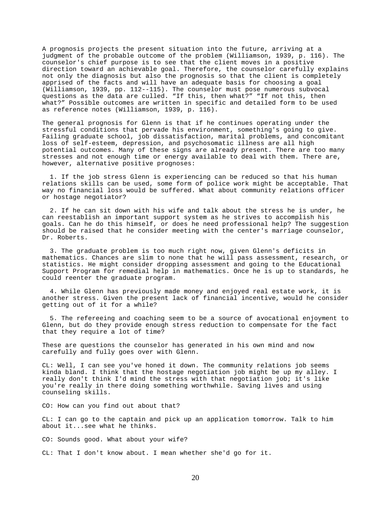A prognosis projects the present situation into the future, arriving at a judgment of the probable outcome of the problem (Williamson, 1939, p. 116). The counselor's chief purpose is to see that the client moves in a positive direction toward an achievable goal. Therefore, the counselor carefully explains not only the diagnosis but also the prognosis so that the client is completely apprised of the facts and will have an adequate basis for choosing a goal (Williamson, 1939, pp. 112--115). The counselor must pose numerous subvocal questions as the data are culled. "If this, then what?" "If not this, then what?" Possible outcomes are written in specific and detailed form to be used as reference notes (Williamson, 1939, p. 116).

The general prognosis for Glenn is that if he continues operating under the stressful conditions that pervade his environment, something's going to give. Failing graduate school, job dissatisfaction, marital problems, and concomitant loss of self-esteem, depression, and psychosomatic illness are all high potential outcomes. Many of these signs are already present. There are too many stresses and not enough time or energy available to deal with them. There are, however, alternative positive prognoses:

1. If the job stress Glenn is experiencing can be reduced so that his human relations skills can be used, some form of police work might be acceptable. That way no financial loss would be suffered. What about community relations officer or hostage negotiator?

2. If he can sit down with his wife and talk about the stress he is under, he can reestablish an important support system as he strives to accomplish his goals. Can he do this himself, or does he need professional help? The suggestion should be raised that he consider meeting with the center's marriage counselor, Dr. Roberts.

3. The graduate problem is too much right now, given Glenn's deficits in mathematics. Chances are slim to none that he will pass assessment, research, or statistics. He might consider dropping assessment and going to the Educational Support Program for remedial help in mathematics. Once he is up to standards, he could reenter the graduate program.

4. While Glenn has previously made money and enjoyed real estate work, it is another stress. Given the present lack of financial incentive, would he consider getting out of it for a while?

5. The refereeing and coaching seem to be a source of avocational enjoyment to Glenn, but do they provide enough stress reduction to compensate for the fact that they require a lot of time?

These are questions the counselor has generated in his own mind and now carefully and fully goes over with Glenn.

CL: Well, I can see you've honed it down. The community relations job seems kinda bland. I think that the hostage negotiation job might be up my alley. I really don't think I'd mind the stress with that negotiation job; it's like you're really in there doing something worthwhile. Saving lives and using counseling skills.

CO: How can you find out about that?

CL: I can go to the captain and pick up an application tomorrow. Talk to him about it...see what he thinks.

CO: Sounds good. What about your wife?

CL: That I don't know about. I mean whether she'd go for it.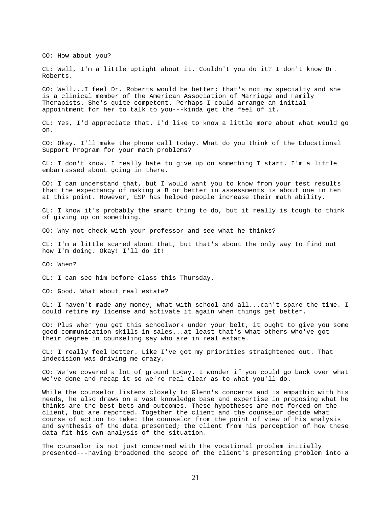CO: How about you?

CL: Well, I'm a little uptight about it. Couldn't you do it? I don't know Dr. Roberts.

CO: Well...I feel Dr. Roberts would be better; that's not my specialty and she is a clinical member of the American Association of Marriage and Family Therapists. She's quite competent. Perhaps I could arrange an initial appointment for her to talk to you---kinda get the feel of it.

CL: Yes, I'd appreciate that. I'd like to know a little more about what would go on.

CO: Okay. I'll make the phone call today. What do you think of the Educational Support Program for your math problems?

CL: I don't know. I really hate to give up on something I start. I'm a little embarrassed about going in there.

CO: I can understand that, but I would want you to know from your test results that the expectancy of making a B or better in assessments is about one in ten at this point. However, ESP has helped people increase their math ability.

CL: I know it's probably the smart thing to do, but it really is tough to think of giving up on something.

CO: Why not check with your professor and see what he thinks?

CL: I'm a little scared about that, but that's about the only way to find out how I'm doing. Okay! I'll do it!

CO: When?

CL: I can see him before class this Thursday.

CO: Good. What about real estate?

CL: I haven't made any money, what with school and all...can't spare the time. I could retire my license and activate it again when things get better.

CO: Plus when you get this schoolwork under your belt, it ought to give you some good communication skills in sales...at least that's what others who've got their degree in counseling say who are in real estate.

CL: I really feel better. Like I've got my priorities straightened out. That indecision was driving me crazy.

CO: We've covered a lot of ground today. I wonder if you could go back over what we've done and recap it so we're real clear as to what you'll do.

While the counselor listens closely to Glenn's concerns and is empathic with his needs, he also draws on a vast knowledge base and expertise in proposing what he thinks are the best bets and outcomes. These hypotheses are not forced on the client, but are reported. Together the client and the counselor decide what course of action to take: the counselor from the point of view of his analysis and synthesis of the data presented; the client from his perception of how these data fit his own analysis of the situation.

The counselor is not just concerned with the vocational problem initially presented---having broadened the scope of the client's presenting problem into a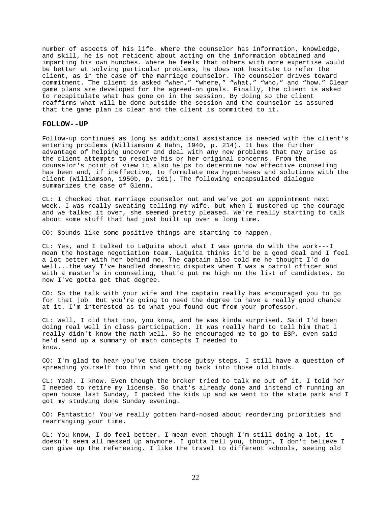number of aspects of his life. Where the counselor has information, knowledge, and skill, he is not reticent about acting on the information obtained and imparting his own hunches. Where he feels that others with more expertise would be better at solving particular problems, he does not hesitate to refer the client, as in the case of the marriage counselor. The counselor drives toward commitment. The client is asked "when," "where," "what," "who," and "how." Clear game plans are developed for the agreed-on goals. Finally, the client is asked to recapitulate what has gone on in the session. By doing so the client reaffirms what will be done outside the session and the counselor is assured that the game plan is clear and the client is committed to it.

#### **FOLLOW--UP**

Follow-up continues as long as additional assistance is needed with the client's entering problems (Williamson & Hahn, 1940, p. 214). It has the further advantage of helping uncover and deal with any new problems that may arise as the client attempts to resolve his or her original concerns. From the counselor's point of view it also helps to determine how effective counseling has been and, if ineffective, to formulate new hypotheses and solutions with the client (Williamson, 1950b, p. 101). The following encapsulated dialogue summarizes the case of Glenn.

CL: I checked that marriage counselor out and we've got an appointment next week. I was really sweating telling my wife, but when I mustered up the courage and we talked it over, she seemed pretty pleased. We're really starting to talk about some stuff that had just built up over a long time.

CO: Sounds like some positive things are starting to happen.

CL: Yes, and I talked to LaQuita about what I was gonna do with the work---I mean the hostage negotiation team. LaQuita thinks it'd be a good deal and I feel a lot better with her behind me. The captain also told me he thought I'd do well...the way I've handled domestic disputes when I was a patrol officer and with a master's in counseling, that'd put me high on the list of candidates. So now I've gotta get that degree.

CO: So the talk with your wife and the captain really has encouraged you to go for that job. But you're going to need the degree to have a really good chance at it. I'm interested as to what you found out from your professor.

CL: Well, I did that too, you know, and he was kinda surprised. Said I'd been doing real well in class participation. It was really hard to tell him that I really didn't know the math well. So he encouraged me to go to ESP, even said he'd send up a summary of math concepts I needed to know.

CO: I'm glad to hear you've taken those gutsy steps. I still have a question of spreading yourself too thin and getting back into those old binds.

CL: Yeah. I know. Even though the broker tried to talk me out of it, I told her I needed to retire my license. So that's already done and instead of running an open house last Sunday, I packed the kids up and we went to the state park and I got my studying done Sunday evening.

CO: Fantastic! You've really gotten hard-nosed about reordering priorities and rearranging your time.

CL: You know, I do feel better. I mean even though I'm still doing a lot, it doesn't seem all messed up anymore. I gotta tell you, though, I don't believe I can give up the refereeing. I like the travel to different schools, seeing old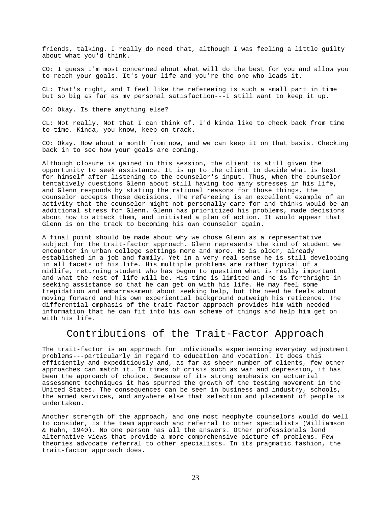friends, talking. I really do need that, although I was feeling a little guilty about what you'd think.

CO: I guess I'm most concerned about what will do the best for you and allow you to reach your goals. It's your life and you're the one who leads it.

CL: That's right, and I feel like the refereeing is such a small part in time but so big as far as my personal satisfaction---I still want to keep it up.

CO: Okay. Is there anything else?

CL: Not really. Not that I can think of. I'd kinda like to check back from time to time. Kinda, you know, keep on track.

CO: Okay. How about a month from now, and we can keep it on that basis. Checking back in to see how your goals are coming.

Although closure is gained in this session, the client is still given the opportunity to seek assistance. It is up to the client to decide what is best for himself after listening to the counselor's input. Thus, when the counselor tentatively questions Glenn about still having too many stresses in his life, and Glenn responds by stating the rational reasons for those things, the counselor accepts those decisions. The refereeing is an excellent example of an activity that the counselor might not personally care for and thinks would be an additional stress for Glenn. Glenn has prioritized his problems, made decisions about how to attack them, and initiated a plan of action. It would appear that Glenn is on the track to becoming his own counselor again.

A final point should be made about why we chose Glenn as a representative subject for the trait-factor approach. Glenn represents the kind of student we encounter in urban college settings more and more. He is older, already established in a job and family. Yet in a very real sense he is still developing in all facets of his life. His multiple problems are rather typical of a midlife, returning student who has begun to question what is really important and what the rest of life will be. His time is limited and he is forthright in seeking assistance so that he can get on with his life. He may feel some trepidation and embarrassment about seeking help, but the need he feels about moving forward and his own experiential background outweigh his reticence. The differential emphasis of the trait-factor approach provides him with needed information that he can fit into his own scheme of things and help him get on with his life.

### Contributions of the Trait-Factor Approach

The trait-factor is an approach for individuals experiencing everyday adjustment problems---particularly in regard to education and vocation. It does this efficiently and expeditiously and, as far as sheer number of clients, few other approaches can match it. In times of crisis such as war and depression, it has been the approach of choice. Because of its strong emphasis on actuarial assessment techniques it has spurred the growth of the testing movement in the United States. The consequences can be seen in business and industry, schools, the armed services, and anywhere else that selection and placement of people is undertaken.

Another strength of the approach, and one most neophyte counselors would do well to consider, is the team approach and referral to other specialists (Williamson & Hahn, 1940). No one person has all the answers. Other professionals lend alternative views that provide a more comprehensive picture of problems. Few theories advocate referral to other specialists. In its pragmatic fashion, the trait-factor approach does.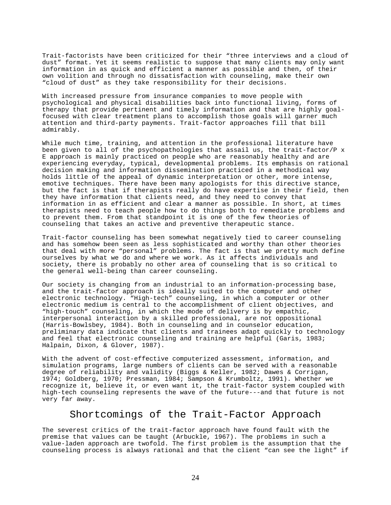Trait-factorists have been criticized for their "three interviews and a cloud of dust" format. Yet it seems realistic to suppose that many clients may only want information in as quick and efficient a manner as possible and then, of their own volition and through no dissatisfaction with counseling, make their own "cloud of dust" as they take responsibility for their decisions.

With increased pressure from insurance companies to move people with psychological and physical disabilities back into functional living, forms of therapy that provide pertinent and timely information and that are highly goalfocused with clear treatment plans to accomplish those goals will garner much attention and third-party payments. Trait-factor approaches fill that bill admirably.

While much time, training, and attention in the professional literature have been given to all of the psychopathologies that assail us, the trait-factor/P x E approach is mainly practiced on people who are reasonably healthy and are experiencing everyday, typical, developmental problems. Its emphasis on rational decision making and information dissemination practiced in a methodical way holds little of the appeal of dynamic interpretation or other, more intense, emotive techniques. There have been many apologists for this directive stance, but the fact is that if therapists really do have expertise in their field, then they have information that clients need, and they need to convey that information in as efficient and clear a manner as possible. In short, at times therapists need to teach people how to do things both to remediate problems and to prevent them. From that standpoint it is one of the few theories of counseling that takes an active and preventive therapeutic stance.

Trait-factor counseling has been somewhat negatively tied to career counseling and has somehow been seen as less sophisticated and worthy than other theories that deal with more "personal" problems. The fact is that we pretty much define ourselves by what we do and where we work. As it affects individuals and society, there is probably no other area of counseling that is so critical to the general well-being than career counseling.

Our society is changing from an industrial to an information-processing base, and the trait-factor approach is ideally suited to the computer and other electronic technology. "High-tech" counseling, in which a computer or other electronic medium is central to the accomplishment of client objectives, and "high-touch" counseling, in which the mode of delivery is by empathic, interpersonal interaction by a skilled professional, are not oppositional (Harris-Bowlsbey, 1984). Both in counseling and in counselor education, preliminary data indicate that clients and trainees adapt quickly to technology and feel that electronic counseling and training are helpful (Garis, 1983; Halpain, Dixon, & Glover, 1987).

With the advent of cost-effective computerized assessment, information, and simulation programs, large numbers of clients can be served with a reasonable degree of reliability and validity (Biggs & Keller, 1982; Dawes & Corrigan, 1974; Goldberg, 1970; Pressman, 1984; Sampson & Krumboltz, 1991). Whether we recognize it, believe it, or even want it, the trait-factor system coupled with high-tech counseling represents the wave of the future---and that future is not very far away.

## Shortcomings of the Trait-Factor Approach

The severest critics of the trait-factor approach have found fault with the premise that values can be taught (Arbuckle, 1967). The problems in such a value-laden approach are twofold. The first problem is the assumption that the counseling process is always rational and that the client "can see the light" if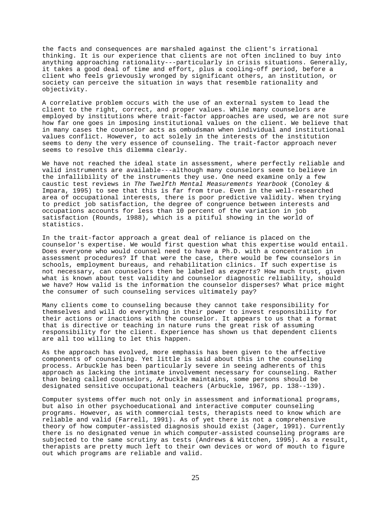the facts and consequences are marshaled against the client's irrational thinking. It is our experience that clients are not often inclined to buy into anything approaching rationality---particularly in crisis situations. Generally, it takes a good deal of time and effort, plus a cooling-off period, before a client who feels grievously wronged by significant others, an institution, or society can perceive the situation in ways that resemble rationality and objectivity.

A correlative problem occurs with the use of an external system to lead the client to the right, correct, and proper values. While many counselors are employed by institutions where trait-factor approaches are used, we are not sure how far one goes in imposing institutional values on the client. We believe that in many cases the counselor acts as ombudsman when individual and institutional values conflict. However, to act solely in the interests of the institution seems to deny the very essence of counseling. The trait-factor approach never seems to resolve this dilemma clearly.

We have not reached the ideal state in assessment, where perfectly reliable and valid instruments are available---although many counselors seem to believe in the infallibility of the instruments they use. One need examine only a few caustic test reviews in The Twelfth Mental Measurements Yearbook (Conoley & Impara, 1995) to see that this is far from true. Even in the well-researched area of occupational interests, there is poor predictive validity. When trying to predict job satisfaction, the degree of congruence between interests and occupations accounts for less than 10 percent of the variation in job satisfaction (Rounds, 1988), which is a pitiful showing in the world of statistics.

In the trait-factor approach a great deal of reliance is placed on the counselor's expertise. We would first question what this expertise would entail. Does everyone who would counsel need to have a Ph.D. with a concentration in assessment procedures? If that were the case, there would be few counselors in schools, employment bureaus, and rehabilitation clinics. If such expertise is not necessary, can counselors then be labeled as experts? How much trust, given what is known about test validity and counselor diagnostic reliability, should we have? How valid is the information the counselor disperses? What price might the consumer of such counseling services ultimately pay?

Many clients come to counseling because they cannot take responsibility for themselves and will do everything in their power to invest responsibility for their actions or inactions with the counselor. It appears to us that a format that is directive or teaching in nature runs the great risk of assuming responsibility for the client. Experience has shown us that dependent clients are all too willing to let this happen.

As the approach has evolved, more emphasis has been given to the affective components of counseling. Yet little is said about this in the counseling process. Arbuckle has been particularly severe in seeing adherents of this approach as lacking the intimate involvement necessary for counseling. Rather than being called counselors, Arbuckle maintains, some persons should be designated sensitive occupational teachers (Arbuckle, 1967, pp. 138--139).

Computer systems offer much not only in assessment and informational programs, but also in other psychoeducational and interactive computer counseling programs. However, as with commercial tests, therapists need to know which are reliable and valid (Farrell, 1991). As of yet there is not a comprehensive theory of how computer-assisted diagnosis should exist (Jager, 1991). Currently there is no designated venue in which computer-assisted counseling programs are subjected to the same scrutiny as tests (Andrews & Wittchen, 1995). As a result, therapists are pretty much left to their own devices or word of mouth to figure out which programs are reliable and valid.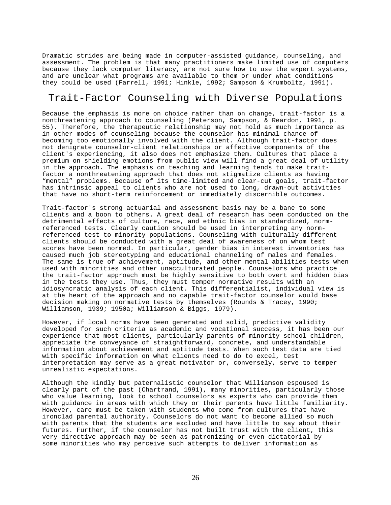Dramatic strides are being made in computer-assisted guidance, counseling, and assessment. The problem is that many practitioners make limited use of computers because they lack computer literacy, are not sure how to use the expert systems, and are unclear what programs are available to them or under what conditions they could be used (Farrell, 1991; Hinkle, 1992; Sampson & Krumboltz, 1991).

### Trait-Factor Counseling with Diverse Populations

Because the emphasis is more on choice rather than on change, trait-factor is a nonthreatening approach to counseling (Peterson, Sampson, & Reardon, 1991, p. 55). Therefore, the therapeutic relationship may not hold as much importance as in other modes of counseling because the counselor has minimal chance of becoming too emotionally involved with the client. Although trait-factor does not denigrate counselor-client relationships or affective components of the client's experiencing, it also does not emphasize them. Cultures that place a premium on shielding emotions from public view will find a great deal of utility in the approach. The emphasis on teaching and learning tends to make traitfactor a nonthreatening approach that does not stigmatize clients as having "mental" problems. Because of its time-limited and clear-cut goals, trait-factor has intrinsic appeal to clients who are not used to long, drawn-out activities that have no short-term reinforcement or immediately discernible outcomes.

Trait-factor's strong actuarial and assessment basis may be a bane to some clients and a boon to others. A great deal of research has been conducted on the detrimental effects of culture, race, and ethnic bias in standardized, normreferenced tests. Clearly caution should be used in interpreting any normreferenced test to minority populations. Counseling with culturally different clients should be conducted with a great deal of awareness of on whom test scores have been normed. In particular, gender bias in interest inventories has caused much job stereotyping and educational channeling of males and females. The same is true of achievement, aptitude, and other mental abilities tests when used with minorities and other unacculturated people. Counselors who practice the trait-factor approach must be highly sensitive to both overt and hidden bias in the tests they use. Thus, they must temper normative results with an idiosyncratic analysis of each client. This differentialist, individual view is at the heart of the approach and no capable trait-factor counselor would base decision making on normative tests by themselves (Rounds & Tracey, 1990; Williamson, 1939; 1950a; Williamson & Biggs, 1979).

However, if local norms have been generated and solid, predictive validity developed for such criteria as academic and vocational success, it has been our experience that most clients, particularly parents of minority school children, appreciate the conveyance of straightforward, concrete, and understandable information about achievement and aptitude tests. When such test data are tied with specific information on what clients need to do to excel, test interpretation may serve as a great motivator or, conversely, serve to temper unrealistic expectations.

Although the kindly but paternalistic counselor that Williamson espoused is clearly part of the past (Chartrand, 1991), many minorities, particularly those who value learning, look to school counselors as experts who can provide them with guidance in areas with which they or their parents have little familiarity. However, care must be taken with students who come from cultures that have ironclad parental authority. Counselors do not want to become allied so much with parents that the students are excluded and have little to say about their futures. Further, if the counselor has not built trust with the client, this very directive approach may be seen as patronizing or even dictatorial by some minorities who may perceive such attempts to deliver information as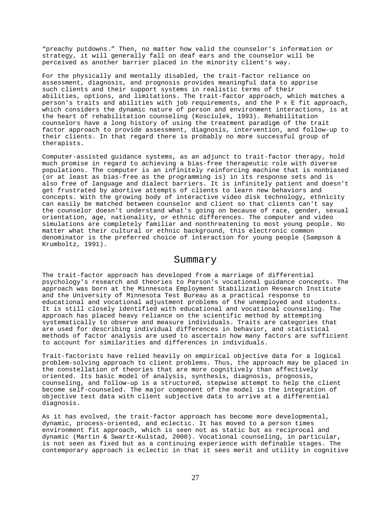"preachy putdowns." Then, no matter how valid the counselor's information or strategy, it will generally fall on deaf ears and the counselor will be perceived as another barrier placed in the minority client's way.

For the physically and mentally disabled, the trait-factor reliance on assessment, diagnosis, and prognosis provides meaningful data to apprise such clients and their support systems in realistic terms of their abilities, options, and limitations. The trait-factor approach, which matches a person's traits and abilities with job requirements, and the P x E fit approach, which considers the dynamic nature of person and environment interactions, is at the heart of rehabilitation counseling (Kosciulek, 1993). Rehabilitation counselors have a long history of using the treatment paradigm of the trait factor approach to provide assessment, diagnosis, intervention, and follow-up to their clients. In that regard there is probably no more successful group of therapists.

Computer-assisted guidance systems, as an adjunct to trait-factor therapy, hold much promise in regard to achieving a bias-free therapeutic role with diverse populations. The computer is an infinitely reinforcing machine that is nonbiased (or at least as bias-free as the programming is) in its response sets and is also free of language and dialect barriers. It is infinitely patient and doesn't get frustrated by abortive attempts of clients to learn new behaviors and concepts. With the growing body of interactive video disk technology, ethnicity can easily be matched between counselor and client so that clients can't say the counselor doesn't understand what's going on because of race, gender, sexual orientation, age, nationality, or ethnic differences. The computer and video simulations are completely familiar and nonthreatening to most young people. No matter what their cultural or ethnic background, this electronic common denominator is the preferred choice of interaction for young people (Sampson & Krumboltz, 1991).

### Summary

The trait-factor approach has developed from a marriage of differential psychology's research and theories to Parson's vocational guidance concepts. The approach was born at the Minnesota Employment Stabilization Research Institute and the University of Minnesota Test Bureau as a practical response to educational and vocational adjustment problems of the unemployed and students. It is still closely identified with educational and vocational counseling. The approach has placed heavy reliance on the scientific method by attempting systematically to observe and measure individuals. Traits are categories that are used for describing individual differences in behavior, and statistical methods of factor analysis are used to ascertain how many factors are sufficient to account for similarities and differences in individuals.

Trait-factorists have relied heavily on empirical objective data for a logical problem-solving approach to client problems. Thus, the approach may be placed in the constellation of theories that are more cognitively than affectively oriented. Its basic model of analysis, synthesis, diagnosis, prognosis, counseling, and follow-up is a structured, stepwise attempt to help the client become self-counseled. The major component of the model is the integration of objective test data with client subjective data to arrive at a differential diagnosis.

As it has evolved, the trait-factor approach has become more developmental, dynamic, process-oriented, and eclectic. It has moved to a person times environment fit approach, which is seen not as static but as reciprocal and dynamic (Martin & Swartz-Kulstad, 2000). Vocational counseling, in particular, is not seen as fixed but as a continuing experience with definable stages. The contemporary approach is eclectic in that it sees merit and utility in cognitive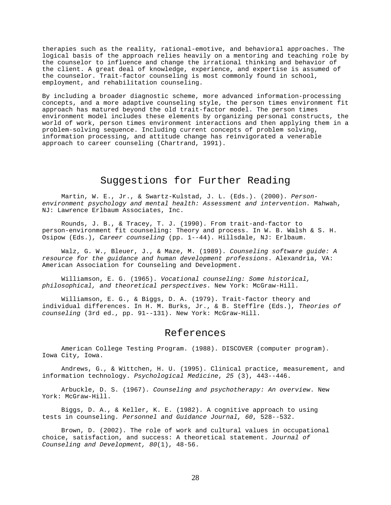therapies such as the reality, rational-emotive, and behavioral approaches. The logical basis of the approach relies heavily on a mentoring and teaching role by the counselor to influence and change the irrational thinking and behavior of the client. A great deal of knowledge, experience, and expertise is assumed of the counselor. Trait-factor counseling is most commonly found in school, employment, and rehabilitation counseling.

By including a broader diagnostic scheme, more advanced information-processing concepts, and a more adaptive counseling style, the person times environment fit approach has matured beyond the old trait-factor model. The person times environment model includes these elements by organizing personal constructs, the world of work, person times environment interactions and then applying them in a problem-solving sequence. Including current concepts of problem solving, information processing, and attitude change has reinvigorated a venerable approach to career counseling (Chartrand, 1991).

### Suggestions for Further Reading

Martin, W. E., Jr., & Swartz-Kulstad, J. L. (Eds.). (2000). Personenvironment psychology and mental health: Assessment and intervention. Mahwah, NJ: Lawrence Erlbaum Associates, Inc.

Rounds, J. B., & Tracey, T. J. (1990). From trait-and-factor to person-environment fit counseling: Theory and process. In W. B. Walsh & S. H. Osipow (Eds.), Career counseling (pp. 1--44). Hillsdale, NJ: Erlbaum.

Walz, G. W., Bleuer, J., & Maze, M. (1989). Counseling software guide: A resource for the guidance and human development professions. Alexandria, VA: American Association for Counseling and Development.

Williamson, E. G. (1965). Vocational counseling: Some historical, philosophical, and theoretical perspectives. New York: McGraw-Hill.

Williamson, E. G., & Biggs, D. A. (1979). Trait-factor theory and individual differences. In H. M. Burks, Jr., & B. Stefflre (Eds.), Theories of counseling (3rd ed., pp. 91--131). New York: McGraw-Hill.

### References

American College Testing Program. (1988). DISCOVER (computer program). Iowa City, Iowa.

Andrews, G., & Wittchen, H. U. (1995). Clinical practice, measurement, and information technology. Psychological Medicine, 25 (3), 443--446.

Arbuckle, D. S. (1967). Counseling and psychotherapy: An overview. New York: McGraw-Hill.

Biggs, D. A., & Keller, K. E. (1982). A cognitive approach to using tests in counseling. Personnel and Guidance Journal, 60, 528--532.

Brown, D. (2002). The role of work and cultural values in occupational choice, satisfaction, and success: A theoretical statement. Journal of Counseling and Development, 80(1), 48-56.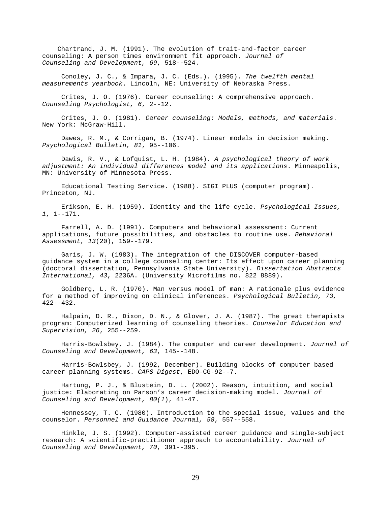Chartrand, J. M. (1991). The evolution of trait-and-factor career counseling: A person times environment fit approach. Journal of Counseling and Development, 69, 518--524.

Conoley, J. C., & Impara, J. C. (Eds.). (1995). The twelfth mental measurements yearbook. Lincoln, NE: University of Nebraska Press.

Crites, J. O. (1976). Career counseling: A comprehensive approach. Counseling Psychologist, 6, 2--12.

Crites, J. O. (1981). Career counseling: Models, methods, and materials. New York: McGraw-Hill.

Dawes, R. M., & Corrigan, B. (1974). Linear models in decision making. Psychological Bulletin, 81, 95--106.

Dawis, R. V., & Lofquist, L. H. (1984). A psychological theory of work adjustment: An individual differences model and its applications. Minneapolis, MN: University of Minnesota Press.

Educational Testing Service. (1988). SIGI PLUS (computer program). Princeton, NJ.

Erikson, E. H. (1959). Identity and the life cycle. Psychological Issues, 1, 1--171.

Farrell, A. D. (1991). Computers and behavioral assessment: Current applications, future possibilities, and obstacles to routine use. Behavioral Assessment, 13(20), 159--179.

Garis, J. W. (1983). The integration of the DISCOVER computer-based guidance system in a college counseling center: Its effect upon career planning (doctoral dissertation, Pennsylvania State University). Dissertation Abstracts International, 43, 2236A. (University Microfilms no. 822 8889).

Goldberg, L. R. (1970). Man versus model of man: A rationale plus evidence for a method of improving on clinical inferences. Psychological Bulletin, 73, 422--432.

Halpain, D. R., Dixon, D. N., & Glover, J. A. (1987). The great therapists program: Computerized learning of counseling theories. Counselor Education and Supervision, 26, 255--259.

Harris-Bowlsbey, J. (1984). The computer and career development. Journal of Counseling and Development, 63, 145--148.

Harris-Bowlsbey, J. (1992, December). Building blocks of computer based career planning systems. CAPS Digest, EDO-CG-92--7.

Hartung, P. J., & Blustein, D. L. (2002). Reason, intuition, and social justice: Elaborating on Parson's career decision-making model. Journal of Counseling and Development, 80(1), 41-47.

Hennessey, T. C. (1980). Introduction to the special issue, values and the counselor. Personnel and Guidance Journal, 58, 557--558.

Hinkle, J. S. (1992). Computer-assisted career guidance and single-subject research: A scientific-practitioner approach to accountability. Journal of Counseling and Development, 70, 391--395.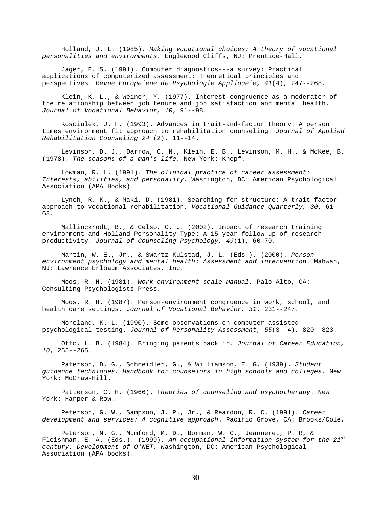Holland, J. L. (1985). Making vocational choices: A theory of vocational personalities and environments. Englewood Cliffs, NJ: Prentice-Hall.

Jager, E. S. (1991). Computer diagnostics---a survey: Practical applications of computerized assessment: Theoretical principles and perspectives. Revue Europe'ene de Psychologie Applique'e, 41(4), 247--268.

Klein, K. L., & Weiner, Y. (1977). Interest congruence as a moderator of the relationship between job tenure and job satisfaction and mental health. Journal of Vocational Behavior, 10, 91--98.

Kosciulek, J. F. (1993). Advances in trait-and-factor theory: A person times environment fit approach to rehabilitation counseling. Journal of Applied Rehabilitation Counseling 24 (2), 11--14.

Levinson, D. J., Darrow, C. N., Klein, E. B., Levinson, M. H., & McKee, B. (1978). The seasons of a man's life. New York: Knopf.

Lowman, R. L. (1991). The clinical practice of career assessment: Interests, abilities, and personality. Washington, DC: American Psychological Association (APA Books).

Lynch, R. K., & Maki, D. (1981). Searching for structure: A trait-factor approach to vocational rehabilitation. Vocational Guidance Quarterly, 30, 61-- 68.

Mallinckrodt, B., & Gelso, C. J. (2002). Impact of research training environment and Holland Personality Type: A 15-year follow-up of research productivity. Journal of Counseling Psychology, 49(1), 60-70.

Martin, W. E., Jr., & Swartz-Kulstad, J. L. (Eds.). (2000). Personenvironment psychology and mental health: Assessment and intervention. Mahwah, NJ: Lawrence Erlbaum Associates, Inc.

Moos, R. H. (1981). Work environment scale manual. Palo Alto, CA: Consulting Psychologists Press.

Moos, R. H. (1987). Person-environment congruence in work, school, and health care settings. Journal of Vocational Behavior, 31, 231--247.

Moreland, K. L. (1990). Some observations on computer-assisted psychological testing. Journal of Personality Assessment, 55(3--4), 820--823.

Otto, L. B. (1984). Bringing parents back in. Journal of Career Education, 10, 255--265.

Paterson, D. G., Schneidler, G., & Williamson, E. G. (1939). Student guidance techniques: Handbook for counselors in high schools and colleges. New York: McGraw-Hill.

Patterson, C. H. (1966). Theories of counseling and psychotherapy. New York: Harper & Row.

Peterson, G. W., Sampson, J. P., Jr., & Reardon, R. C. (1991). Career development and services: A cognitive approach. Pacific Grove, CA: Brooks/Cole.

Peterson, N. G., Mumford, M. D., Borman, W. C., Jeanneret, P. R, & Fleishman, E. A. (Eds.). (1999). An occupational information system for the  $21^{st}$ century: Development of O\*NET. Washington, DC: American Psychological Association (APA books).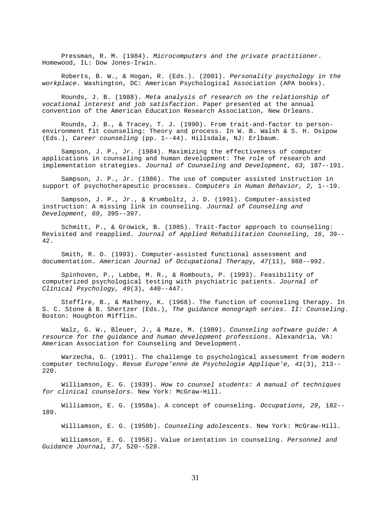Pressman, R. M. (1984). Microcomputers and the private practitioner. Homewood, IL: Dow Jones-Irwin.

Roberts, B. W., & Hogan, R. (Eds.). (2001). Personality psychology in the workplace. Washington, DC: American Psychological Association (APA books).

Rounds, J. B. (1988). Meta analysis of research on the relationship of vocational interest and job satisfaction. Paper presented at the annual convention of the American Education Research Association, New Orleans.

Rounds, J. B., & Tracey, T. J. (1990). From trait-and-factor to personenvironment fit counseling: Theory and process. In W. B. Walsh & S. H. Osipow (Eds.), Career counseling (pp. 1--44). Hillsdale, NJ: Erlbaum.

Sampson, J. P., Jr. (1984). Maximizing the effectiveness of computer applications in counseling and human development: The role of research and implementation strategies. Journal of Counseling and Development, 63, 187--191.

Sampson, J. P., Jr. (1986). The use of computer assisted instruction in support of psychotherapeutic processes. Computers in Human Behavior, 2, 1--19.

Sampson, J. P., Jr., & Krumboltz, J. D. (1991). Computer-assisted instruction: A missing link in counseling. Journal of Counseling and Development, 69, 395--397.

Schmitt, P., & Growick, B. (1985). Trait-factor approach to counseling: Revisited and reapplied. Journal of Applied Rehabilitation Counseling, 16, 39-- 42.

Smith, R. O. (1993). Computer-assisted functional assessment and documentation. American Journal of Occupational Therapy, 47(11), 988--992.

Spinhoven, P., Labbe, M. R., & Rombouts, P. (1993). Feasibility of computerized psychological testing with psychiatric patients. Journal of Clinical Psychology, 49(3), 440--447.

Stefflre, B., & Matheny, K. (1968). The function of counseling therapy. In S. C. Stone & B. Shertzer (Eds.), The guidance monograph series. II: Counseling. Boston: Houghton Mifflin.

Walz, G. W., Bleuer, J., & Maze, M. (1989). Counseling software guide: A resource for the guidance and human development professions. Alexandria, VA: American Association for Counseling and Development.

Warzecha, G. (1991). The challenge to psychological assessment from modern computer technology. Revue Europe'enne de Psychologie Applique'e, 41(3), 213-- 220.

Williamson, E. G. (1939). How to counsel students: A manual of techniques for clinical counselors. New York: McGraw-Hill.

Williamson, E. G. (1950a). A concept of counseling. Occupations, 29, 182-- 189.

Williamson, E. G. (1950b). Counseling adolescents. New York: McGraw-Hill.

Williamson, E. G. (1958). Value orientation in counseling. Personnel and Guidance Journal, 37, 520--528.